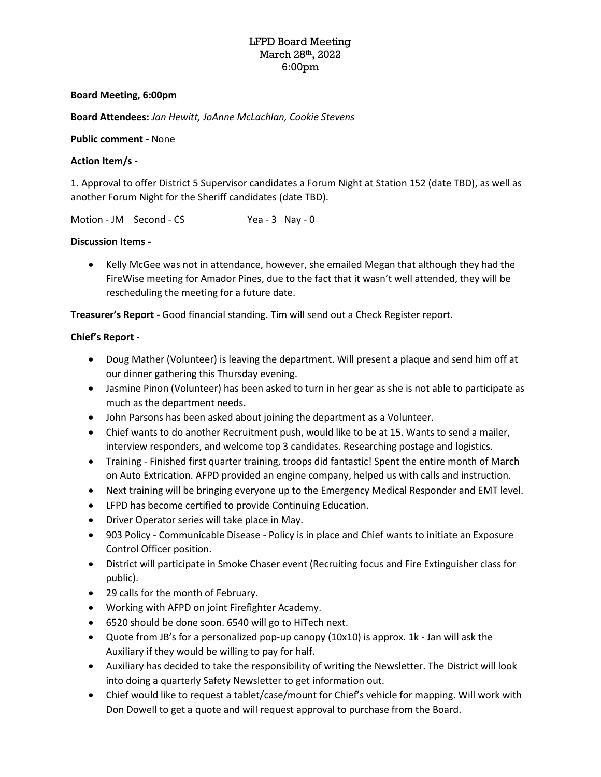# LFPD Board Meeting March 28th, 2022 6:00pm

## **Board Meeting, 6:00pm**

**Board Attendees:** *Jan Hewitt, JoAnne McLachlan, Cookie Stevens*

## **Public comment -** None

## **Action Item/s -**

1. Approval to offer District 5 Supervisor candidates a Forum Night at Station 152 (date TBD), as well as another Forum Night for the Sheriff candidates (date TBD).

Motion - JM Second - CS Yea - 3 Nay - 0

## **Discussion Items -**

• Kelly McGee was not in attendance, however, she emailed Megan that although they had the FireWise meeting for Amador Pines, due to the fact that it wasn't well attended, they will be rescheduling the meeting for a future date.

**Treasurer's Report -** Good financial standing. Tim will send out a Check Register report.

## **Chief's Report -**

- Doug Mather (Volunteer) is leaving the department. Will present a plaque and send him off at our dinner gathering this Thursday evening.
- Jasmine Pinon (Volunteer) has been asked to turn in her gear as she is not able to participate as much as the department needs.
- John Parsons has been asked about joining the department as a Volunteer.
- Chief wants to do another Recruitment push, would like to be at 15. Wants to send a mailer, interview responders, and welcome top 3 candidates. Researching postage and logistics.
- Training Finished first quarter training, troops did fantastic! Spent the entire month of March on Auto Extrication. AFPD provided an engine company, helped us with calls and instruction.
- Next training will be bringing everyone up to the Emergency Medical Responder and EMT level.
- LFPD has become certified to provide Continuing Education.
- Driver Operator series will take place in May.
- 903 Policy Communicable Disease Policy is in place and Chief wants to initiate an Exposure Control Officer position.
- District will participate in Smoke Chaser event (Recruiting focus and Fire Extinguisher class for public).
- 29 calls for the month of February.
- Working with AFPD on joint Firefighter Academy.
- 6520 should be done soon. 6540 will go to HiTech next.
- Quote from JB's for a personalized pop-up canopy (10x10) is approx. 1k Jan will ask the Auxiliary if they would be willing to pay for half.
- Auxiliary has decided to take the responsibility of writing the Newsletter. The District will look into doing a quarterly Safety Newsletter to get information out.
- Chief would like to request a tablet/case/mount for Chief's vehicle for mapping. Will work with Don Dowell to get a quote and will request approval to purchase from the Board.